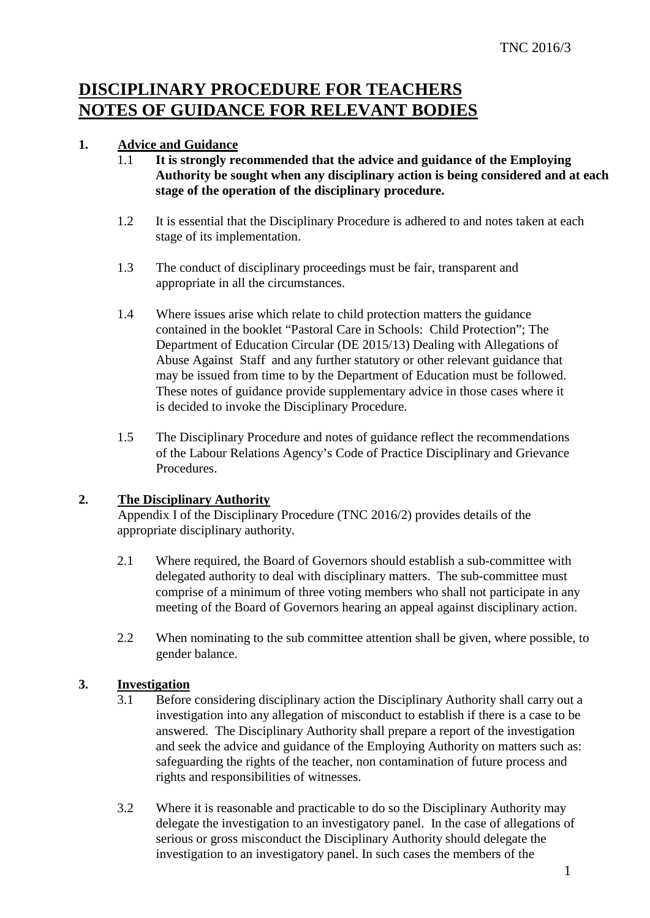# **DISCIPLINARY PROCEDURE FOR TEACHERS NOTES OF GUIDANCE FOR RELEVANT BODIES**

# **1. Advice and Guidance**

- 1.1 **It is strongly recommended that the advice and guidance of the Employing Authority be sought when any disciplinary action is being considered and at each stage of the operation of the disciplinary procedure.**
- 1.2 It is essential that the Disciplinary Procedure is adhered to and notes taken at each stage of its implementation.
- 1.3 The conduct of disciplinary proceedings must be fair, transparent and appropriate in all the circumstances.
- 1.4 Where issues arise which relate to child protection matters the guidance contained in the booklet "Pastoral Care in Schools: Child Protection"; The Department of Education Circular (DE 2015/13) Dealing with Allegations of Abuse Against Staff and any further statutory or other relevant guidance that may be issued from time to by the Department of Education must be followed. These notes of guidance provide supplementary advice in those cases where it is decided to invoke the Disciplinary Procedure.
- 1.5 The Disciplinary Procedure and notes of guidance reflect the recommendations of the Labour Relations Agency's Code of Practice Disciplinary and Grievance Procedures.

#### **2. The Disciplinary Authority**

Appendix I of the Disciplinary Procedure (TNC 2016/2) provides details of the appropriate disciplinary authority.

- 2.1 Where required, the Board of Governors should establish a sub-committee with delegated authority to deal with disciplinary matters. The sub-committee must comprise of a minimum of three voting members who shall not participate in any meeting of the Board of Governors hearing an appeal against disciplinary action.
- 2.2 When nominating to the sub committee attention shall be given, where possible, to gender balance.

# **3. Investigation**

- 3.1 Before considering disciplinary action the Disciplinary Authority shall carry out a investigation into any allegation of misconduct to establish if there is a case to be answered. The Disciplinary Authority shall prepare a report of the investigation and seek the advice and guidance of the Employing Authority on matters such as: safeguarding the rights of the teacher, non contamination of future process and rights and responsibilities of witnesses.
- 3.2 Where it is reasonable and practicable to do so the Disciplinary Authority may delegate the investigation to an investigatory panel. In the case of allegations of serious or gross misconduct the Disciplinary Authority should delegate the investigation to an investigatory panel. In such cases the members of the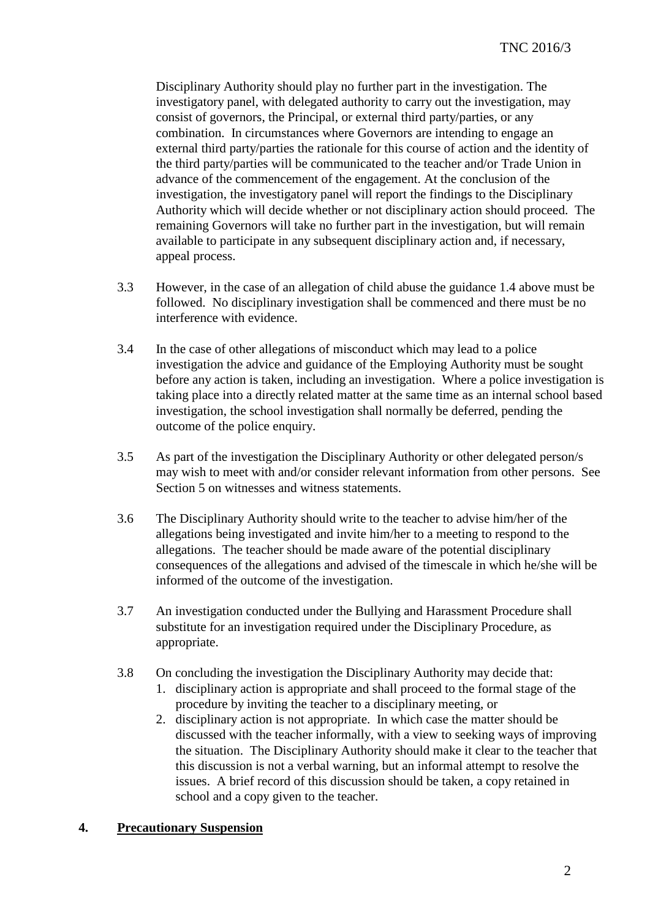Disciplinary Authority should play no further part in the investigation. The investigatory panel, with delegated authority to carry out the investigation, may consist of governors, the Principal, or external third party/parties, or any combination. In circumstances where Governors are intending to engage an external third party/parties the rationale for this course of action and the identity of the third party/parties will be communicated to the teacher and/or Trade Union in advance of the commencement of the engagement. At the conclusion of the investigation, the investigatory panel will report the findings to the Disciplinary Authority which will decide whether or not disciplinary action should proceed. The remaining Governors will take no further part in the investigation, but will remain available to participate in any subsequent disciplinary action and, if necessary, appeal process.

- 3.3 However, in the case of an allegation of child abuse the guidance 1.4 above must be followed. No disciplinary investigation shall be commenced and there must be no interference with evidence.
- 3.4 In the case of other allegations of misconduct which may lead to a police investigation the advice and guidance of the Employing Authority must be sought before any action is taken, including an investigation. Where a police investigation is taking place into a directly related matter at the same time as an internal school based investigation, the school investigation shall normally be deferred, pending the outcome of the police enquiry.
- 3.5 As part of the investigation the Disciplinary Authority or other delegated person/s may wish to meet with and/or consider relevant information from other persons. See Section 5 on witnesses and witness statements.
- 3.6 The Disciplinary Authority should write to the teacher to advise him/her of the allegations being investigated and invite him/her to a meeting to respond to the allegations. The teacher should be made aware of the potential disciplinary consequences of the allegations and advised of the timescale in which he/she will be informed of the outcome of the investigation.
- 3.7 An investigation conducted under the Bullying and Harassment Procedure shall substitute for an investigation required under the Disciplinary Procedure, as appropriate.
- 3.8 On concluding the investigation the Disciplinary Authority may decide that:
	- 1. disciplinary action is appropriate and shall proceed to the formal stage of the procedure by inviting the teacher to a disciplinary meeting, or
	- 2. disciplinary action is not appropriate. In which case the matter should be discussed with the teacher informally, with a view to seeking ways of improving the situation. The Disciplinary Authority should make it clear to the teacher that this discussion is not a verbal warning, but an informal attempt to resolve the issues. A brief record of this discussion should be taken, a copy retained in school and a copy given to the teacher.

# **4. Precautionary Suspension**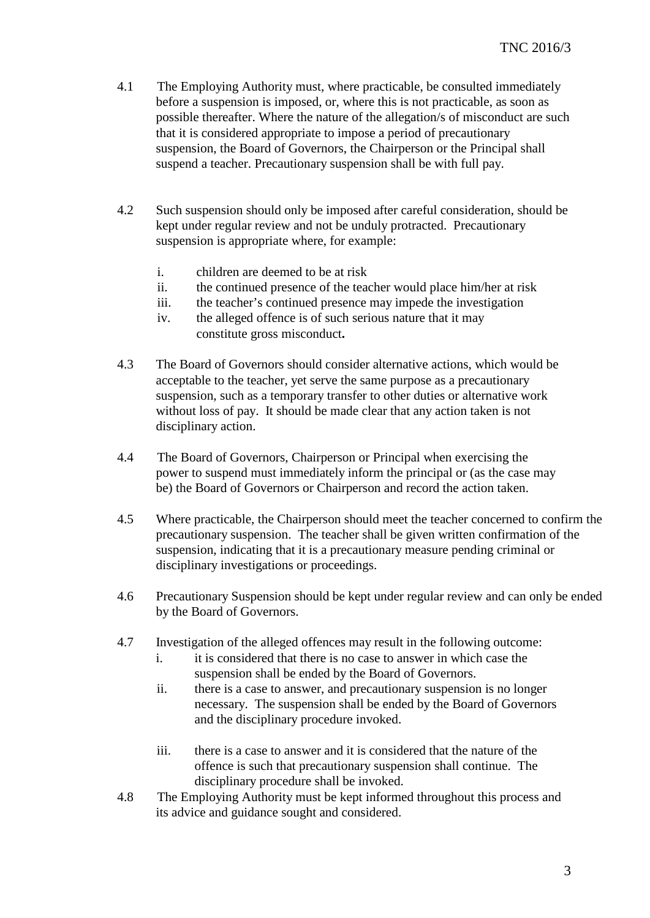- 4.1 The Employing Authority must, where practicable, be consulted immediately before a suspension is imposed, or, where this is not practicable, as soon as possible thereafter. Where the nature of the allegation/s of misconduct are such that it is considered appropriate to impose a period of precautionary suspension, the Board of Governors, the Chairperson or the Principal shall suspend a teacher. Precautionary suspension shall be with full pay.
- 4.2 Such suspension should only be imposed after careful consideration, should be kept under regular review and not be unduly protracted. Precautionary suspension is appropriate where, for example:
	- i. children are deemed to be at risk
	- ii. the continued presence of the teacher would place him/her at risk
	- iii. the teacher's continued presence may impede the investigation
	- iv. the alleged offence is of such serious nature that it may constitute gross misconduct**.**
- 4.3 The Board of Governors should consider alternative actions, which would be acceptable to the teacher, yet serve the same purpose as a precautionary suspension, such as a temporary transfer to other duties or alternative work without loss of pay. It should be made clear that any action taken is not disciplinary action.
- 4.4 The Board of Governors, Chairperson or Principal when exercising the power to suspend must immediately inform the principal or (as the case may be) the Board of Governors or Chairperson and record the action taken.
- 4.5 Where practicable, the Chairperson should meet the teacher concerned to confirm the precautionary suspension. The teacher shall be given written confirmation of the suspension, indicating that it is a precautionary measure pending criminal or disciplinary investigations or proceedings.
- 4.6 Precautionary Suspension should be kept under regular review and can only be ended by the Board of Governors.
- 4.7 Investigation of the alleged offences may result in the following outcome:
	- i. it is considered that there is no case to answer in which case the suspension shall be ended by the Board of Governors.
	- ii. there is a case to answer, and precautionary suspension is no longer necessary. The suspension shall be ended by the Board of Governors and the disciplinary procedure invoked.
	- iii. there is a case to answer and it is considered that the nature of the offence is such that precautionary suspension shall continue. The disciplinary procedure shall be invoked.
- 4.8 The Employing Authority must be kept informed throughout this process and its advice and guidance sought and considered.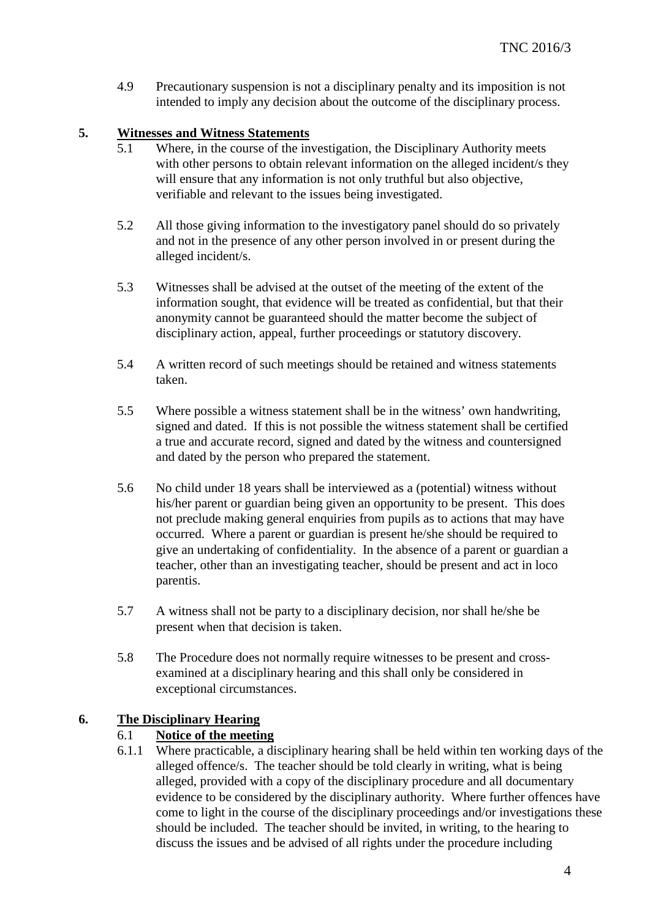4.9 Precautionary suspension is not a disciplinary penalty and its imposition is not intended to imply any decision about the outcome of the disciplinary process.

## **5. Witnesses and Witness Statements**

- 5.1 Where, in the course of the investigation, the Disciplinary Authority meets with other persons to obtain relevant information on the alleged incident/s they will ensure that any information is not only truthful but also objective, verifiable and relevant to the issues being investigated.
- 5.2 All those giving information to the investigatory panel should do so privately and not in the presence of any other person involved in or present during the alleged incident/s.
- 5.3 Witnesses shall be advised at the outset of the meeting of the extent of the information sought, that evidence will be treated as confidential, but that their anonymity cannot be guaranteed should the matter become the subject of disciplinary action, appeal, further proceedings or statutory discovery.
- 5.4 A written record of such meetings should be retained and witness statements taken.
- 5.5 Where possible a witness statement shall be in the witness' own handwriting, signed and dated. If this is not possible the witness statement shall be certified a true and accurate record, signed and dated by the witness and countersigned and dated by the person who prepared the statement.
- 5.6 No child under 18 years shall be interviewed as a (potential) witness without his/her parent or guardian being given an opportunity to be present. This does not preclude making general enquiries from pupils as to actions that may have occurred. Where a parent or guardian is present he/she should be required to give an undertaking of confidentiality. In the absence of a parent or guardian a teacher, other than an investigating teacher, should be present and act in loco parentis.
- 5.7 A witness shall not be party to a disciplinary decision, nor shall he/she be present when that decision is taken.
- 5.8 The Procedure does not normally require witnesses to be present and crossexamined at a disciplinary hearing and this shall only be considered in exceptional circumstances.

#### **6. The Disciplinary Hearing**

#### 6.1 **Notice of the meeting**

6.1.1 Where practicable, a disciplinary hearing shall be held within ten working days of the alleged offence/s. The teacher should be told clearly in writing, what is being alleged, provided with a copy of the disciplinary procedure and all documentary evidence to be considered by the disciplinary authority. Where further offences have come to light in the course of the disciplinary proceedings and/or investigations these should be included. The teacher should be invited, in writing, to the hearing to discuss the issues and be advised of all rights under the procedure including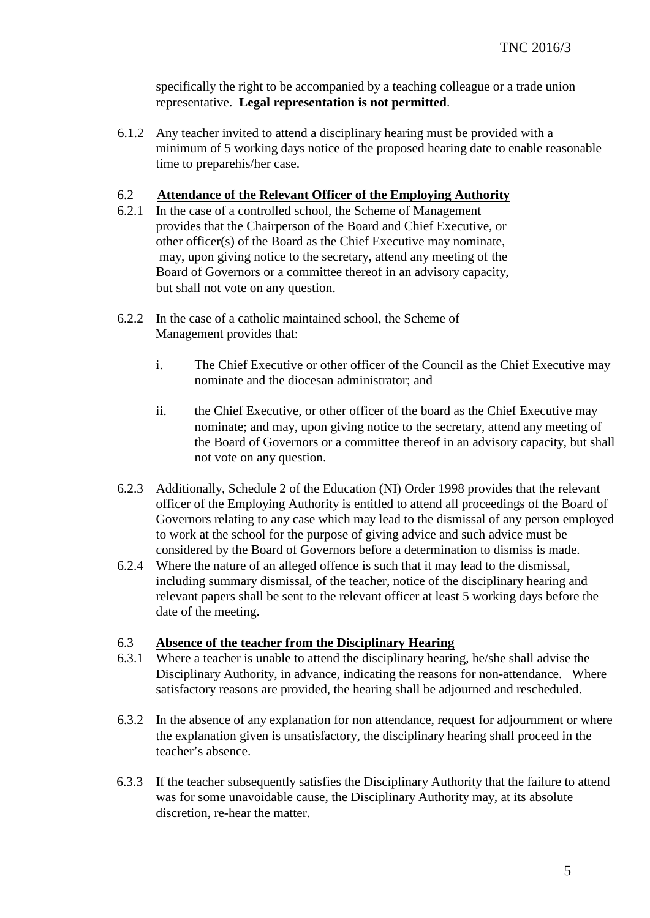specifically the right to be accompanied by a teaching colleague or a trade union representative. **Legal representation is not permitted**.

6.1.2 Any teacher invited to attend a disciplinary hearing must be provided with a minimum of 5 working days notice of the proposed hearing date to enable reasonable time to preparehis/her case.

#### 6.2 **Attendance of the Relevant Officer of the Employing Authority**

- 6.2.1 In the case of a controlled school, the Scheme of Management provides that the Chairperson of the Board and Chief Executive, or other officer(s) of the Board as the Chief Executive may nominate, may, upon giving notice to the secretary, attend any meeting of the Board of Governors or a committee thereof in an advisory capacity, but shall not vote on any question.
- 6.2.2 In the case of a catholic maintained school, the Scheme of Management provides that:
	- i. The Chief Executive or other officer of the Council as the Chief Executive may nominate and the diocesan administrator; and
	- ii. the Chief Executive, or other officer of the board as the Chief Executive may nominate; and may, upon giving notice to the secretary, attend any meeting of the Board of Governors or a committee thereof in an advisory capacity, but shall not vote on any question.
- 6.2.3 Additionally, Schedule 2 of the Education (NI) Order 1998 provides that the relevant officer of the Employing Authority is entitled to attend all proceedings of the Board of Governors relating to any case which may lead to the dismissal of any person employed to work at the school for the purpose of giving advice and such advice must be considered by the Board of Governors before a determination to dismiss is made.
- 6.2.4 Where the nature of an alleged offence is such that it may lead to the dismissal, including summary dismissal, of the teacher, notice of the disciplinary hearing and relevant papers shall be sent to the relevant officer at least 5 working days before the date of the meeting.

#### 6.3 **Absence of the teacher from the Disciplinary Hearing**

- 6.3.1 Where a teacher is unable to attend the disciplinary hearing, he/she shall advise the Disciplinary Authority, in advance, indicating the reasons for non-attendance. Where satisfactory reasons are provided, the hearing shall be adjourned and rescheduled.
- 6.3.2 In the absence of any explanation for non attendance, request for adjournment or where the explanation given is unsatisfactory, the disciplinary hearing shall proceed in the teacher's absence.
- 6.3.3 If the teacher subsequently satisfies the Disciplinary Authority that the failure to attend was for some unavoidable cause, the Disciplinary Authority may, at its absolute discretion, re-hear the matter.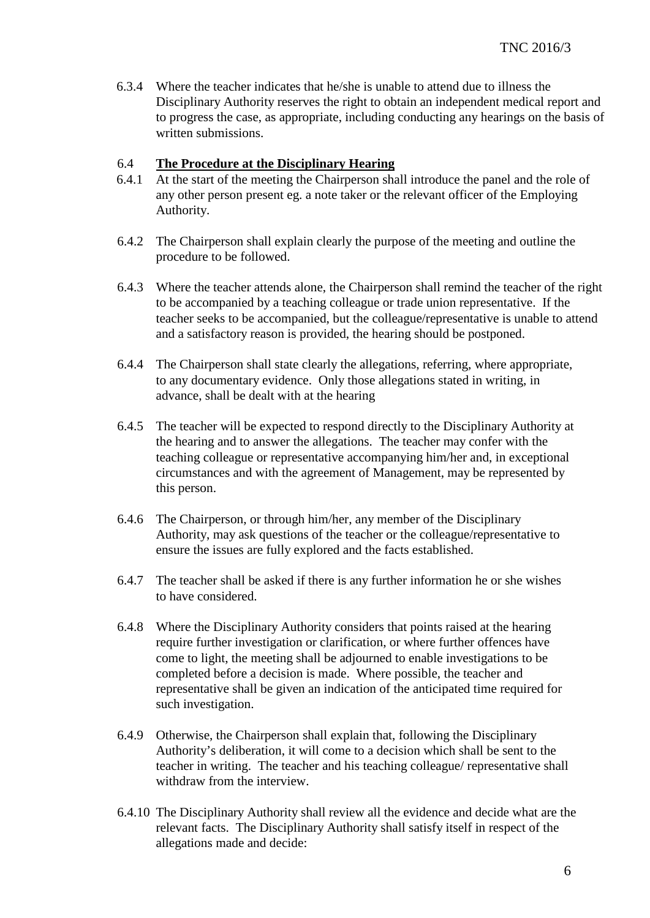6.3.4 Where the teacher indicates that he/she is unable to attend due to illness the Disciplinary Authority reserves the right to obtain an independent medical report and to progress the case, as appropriate, including conducting any hearings on the basis of written submissions.

#### 6.4 **The Procedure at the Disciplinary Hearing**

- 6.4.1 At the start of the meeting the Chairperson shall introduce the panel and the role of any other person present eg. a note taker or the relevant officer of the Employing Authority.
- 6.4.2 The Chairperson shall explain clearly the purpose of the meeting and outline the procedure to be followed.
- 6.4.3 Where the teacher attends alone, the Chairperson shall remind the teacher of the right to be accompanied by a teaching colleague or trade union representative. If the teacher seeks to be accompanied, but the colleague/representative is unable to attend and a satisfactory reason is provided, the hearing should be postponed.
- 6.4.4 The Chairperson shall state clearly the allegations, referring, where appropriate, to any documentary evidence. Only those allegations stated in writing, in advance, shall be dealt with at the hearing
- 6.4.5 The teacher will be expected to respond directly to the Disciplinary Authority at the hearing and to answer the allegations. The teacher may confer with the teaching colleague or representative accompanying him/her and, in exceptional circumstances and with the agreement of Management, may be represented by this person.
- 6.4.6 The Chairperson, or through him/her, any member of the Disciplinary Authority, may ask questions of the teacher or the colleague/representative to ensure the issues are fully explored and the facts established.
- 6.4.7 The teacher shall be asked if there is any further information he or she wishes to have considered.
- 6.4.8 Where the Disciplinary Authority considers that points raised at the hearing require further investigation or clarification, or where further offences have come to light, the meeting shall be adjourned to enable investigations to be completed before a decision is made. Where possible, the teacher and representative shall be given an indication of the anticipated time required for such investigation.
- 6.4.9 Otherwise, the Chairperson shall explain that, following the Disciplinary Authority's deliberation, it will come to a decision which shall be sent to the teacher in writing. The teacher and his teaching colleague/ representative shall withdraw from the interview.
- 6.4.10 The Disciplinary Authority shall review all the evidence and decide what are the relevant facts. The Disciplinary Authority shall satisfy itself in respect of the allegations made and decide: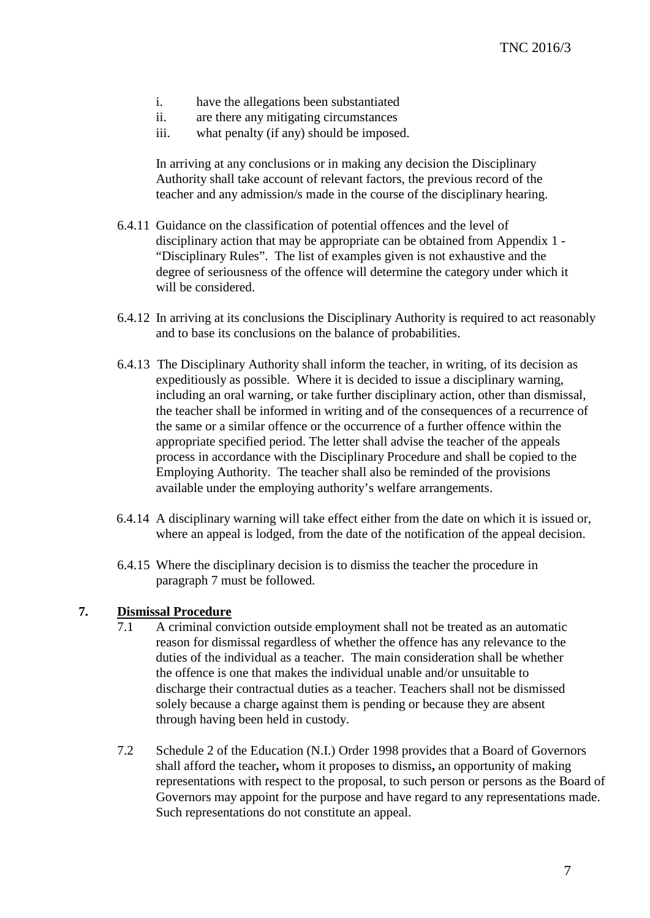- i. have the allegations been substantiated
- ii. are there any mitigating circumstances
- iii. what penalty (if any) should be imposed.

In arriving at any conclusions or in making any decision the Disciplinary Authority shall take account of relevant factors, the previous record of the teacher and any admission/s made in the course of the disciplinary hearing.

- 6.4.11 Guidance on the classification of potential offences and the level of disciplinary action that may be appropriate can be obtained from Appendix 1 - "Disciplinary Rules". The list of examples given is not exhaustive and the degree of seriousness of the offence will determine the category under which it will be considered.
- 6.4.12 In arriving at its conclusions the Disciplinary Authority is required to act reasonably and to base its conclusions on the balance of probabilities.
- 6.4.13 The Disciplinary Authority shall inform the teacher, in writing, of its decision as expeditiously as possible. Where it is decided to issue a disciplinary warning, including an oral warning, or take further disciplinary action, other than dismissal, the teacher shall be informed in writing and of the consequences of a recurrence of the same or a similar offence or the occurrence of a further offence within the appropriate specified period. The letter shall advise the teacher of the appeals process in accordance with the Disciplinary Procedure and shall be copied to the Employing Authority. The teacher shall also be reminded of the provisions available under the employing authority's welfare arrangements.
- 6.4.14 A disciplinary warning will take effect either from the date on which it is issued or, where an appeal is lodged, from the date of the notification of the appeal decision.
- 6.4.15 Where the disciplinary decision is to dismiss the teacher the procedure in paragraph 7 must be followed.

#### **7. Dismissal Procedure**

- 7.1 A criminal conviction outside employment shall not be treated as an automatic reason for dismissal regardless of whether the offence has any relevance to the duties of the individual as a teacher. The main consideration shall be whether the offence is one that makes the individual unable and/or unsuitable to discharge their contractual duties as a teacher. Teachers shall not be dismissed solely because a charge against them is pending or because they are absent through having been held in custody.
- 7.2 Schedule 2 of the Education (N.I.) Order 1998 provides that a Board of Governors shall afford the teacher**,** whom it proposes to dismiss**,** an opportunity of making representations with respect to the proposal, to such person or persons as the Board of Governors may appoint for the purpose and have regard to any representations made. Such representations do not constitute an appeal.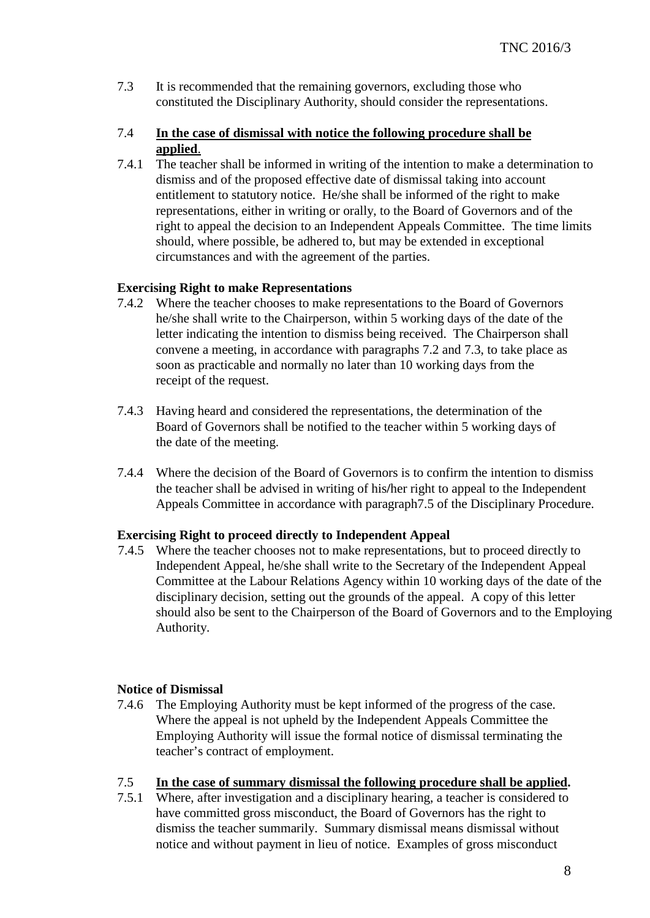7.3 It is recommended that the remaining governors, excluding those who constituted the Disciplinary Authority, should consider the representations.

#### 7.4 **In the case of dismissal with notice the following procedure shall be applied**.

7.4.1 The teacher shall be informed in writing of the intention to make a determination to dismiss and of the proposed effective date of dismissal taking into account entitlement to statutory notice. He/she shall be informed of the right to make representations, either in writing or orally, to the Board of Governors and of the right to appeal the decision to an Independent Appeals Committee. The time limits should, where possible, be adhered to, but may be extended in exceptional circumstances and with the agreement of the parties.

#### **Exercising Right to make Representations**

- 7.4.2 Where the teacher chooses to make representations to the Board of Governors he/she shall write to the Chairperson, within 5 working days of the date of the letter indicating the intention to dismiss being received.The Chairperson shall convene a meeting, in accordance with paragraphs 7.2 and 7.3, to take place as soon as practicable and normally no later than 10 working days from the receipt of the request.
- 7.4.3 Having heard and considered the representations, the determination of the Board of Governors shall be notified to the teacher within 5 working days of the date of the meeting.
- 7.4.4 Where the decision of the Board of Governors is to confirm the intention to dismiss the teacher shall be advised in writing of his**/**her right to appeal to the Independent Appeals Committee in accordance with paragraph7.5 of the Disciplinary Procedure.

#### **Exercising Right to proceed directly to Independent Appeal**

 7.4.5 Where the teacher chooses not to make representations, but to proceed directly to Independent Appeal, he/she shall write to the Secretary of the Independent Appeal Committee at the Labour Relations Agency within 10 working days of the date of the disciplinary decision, setting out the grounds of the appeal. A copy of this letter should also be sent to the Chairperson of the Board of Governors and to the Employing Authority.

#### **Notice of Dismissal**

7.4.6 The Employing Authority must be kept informed of the progress of the case. Where the appeal is not upheld by the Independent Appeals Committee the Employing Authority will issue the formal notice of dismissal terminating the teacher's contract of employment.

#### 7.5 **In the case of summary dismissal the following procedure shall be applied.**

7.5.1 Where, after investigation and a disciplinary hearing, a teacher is considered to have committed gross misconduct, the Board of Governors has the right to dismiss the teacher summarily. Summary dismissal means dismissal without notice and without payment in lieu of notice. Examples of gross misconduct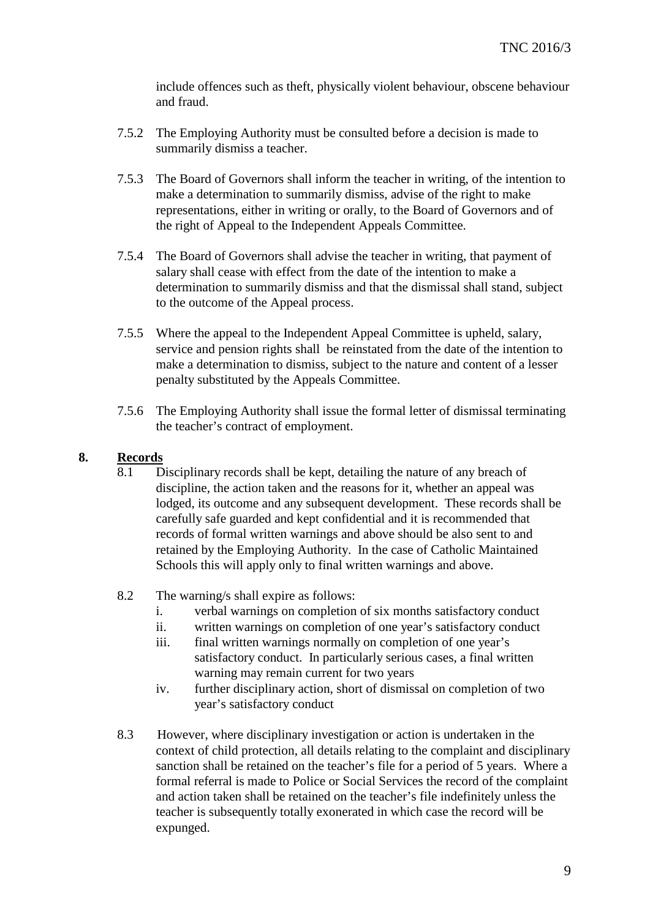include offences such as theft, physically violent behaviour, obscene behaviour and fraud.

- 7.5.2 The Employing Authority must be consulted before a decision is made to summarily dismiss a teacher.
- 7.5.3 The Board of Governors shall inform the teacher in writing, of the intention to make a determination to summarily dismiss, advise of the right to make representations, either in writing or orally, to the Board of Governors and of the right of Appeal to the Independent Appeals Committee.
- 7.5.4 The Board of Governors shall advise the teacher in writing, that payment of salary shall cease with effect from the date of the intention to make a determination to summarily dismiss and that the dismissal shall stand, subject to the outcome of the Appeal process.
- 7.5.5 Where the appeal to the Independent Appeal Committee is upheld, salary, service and pension rights shall be reinstated from the date of the intention to make a determination to dismiss, subject to the nature and content of a lesser penalty substituted by the Appeals Committee.
- 7.5.6 The Employing Authority shall issue the formal letter of dismissal terminating the teacher's contract of employment.

# **8. Records**

- 8.1 Disciplinary records shall be kept, detailing the nature of any breach of discipline, the action taken and the reasons for it, whether an appeal was lodged, its outcome and any subsequent development. These records shall be carefully safe guarded and kept confidential and it is recommended that records of formal written warnings and above should be also sent to and retained by the Employing Authority. In the case of Catholic Maintained Schools this will apply only to final written warnings and above.
- 8.2 The warning/s shall expire as follows:
	- i. verbal warnings on completion of six months satisfactory conduct
	- ii. written warnings on completion of one year's satisfactory conduct
	- iii. final written warnings normally on completion of one year's satisfactory conduct. In particularly serious cases, a final written warning may remain current for two years
	- iv. further disciplinary action, short of dismissal on completion of two year's satisfactory conduct
- 8.3 However, where disciplinary investigation or action is undertaken in the context of child protection, all details relating to the complaint and disciplinary sanction shall be retained on the teacher's file for a period of 5 years. Where a formal referral is made to Police or Social Services the record of the complaint and action taken shall be retained on the teacher's file indefinitely unless the teacher is subsequently totally exonerated in which case the record will be expunged.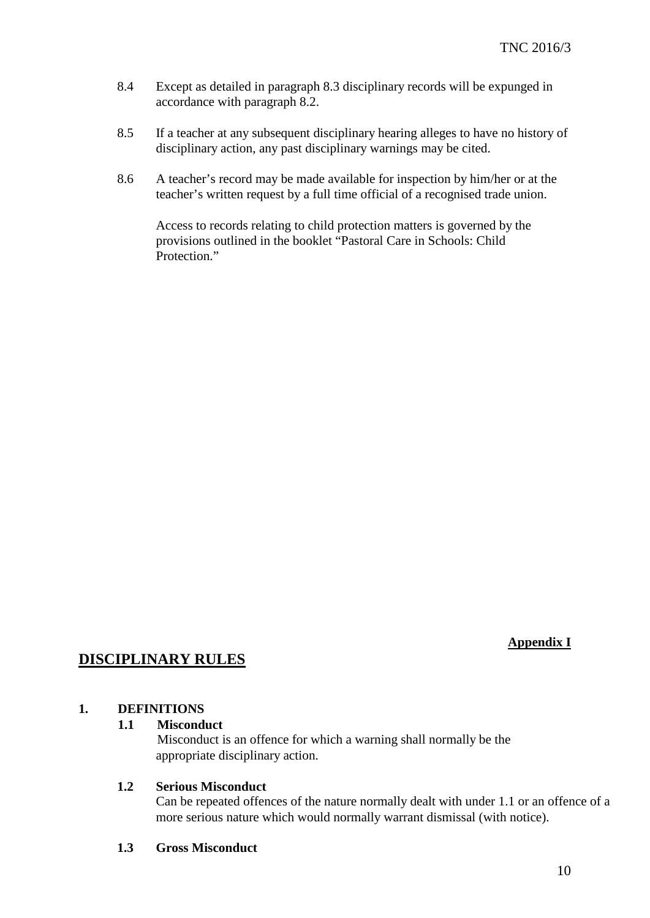- 8.4 Except as detailed in paragraph 8.3 disciplinary records will be expunged in accordance with paragraph 8.2.
- 8.5 If a teacher at any subsequent disciplinary hearing alleges to have no history of disciplinary action, any past disciplinary warnings may be cited.
- 8.6 A teacher's record may be made available for inspection by him/her or at the teacher's written request by a full time official of a recognised trade union.

Access to records relating to child protection matters is governed by the provisions outlined in the booklet "Pastoral Care in Schools: Child Protection."

#### **Appendix I**

# **DISCIPLINARY RULES**

#### **1. DEFINITIONS**

## **1.1 Misconduct**

Misconduct is an offence for which a warning shall normally be the appropriate disciplinary action.

#### **1.2 Serious Misconduct**

Can be repeated offences of the nature normally dealt with under 1.1 or an offence of a more serious nature which would normally warrant dismissal (with notice).

**1.3 Gross Misconduct**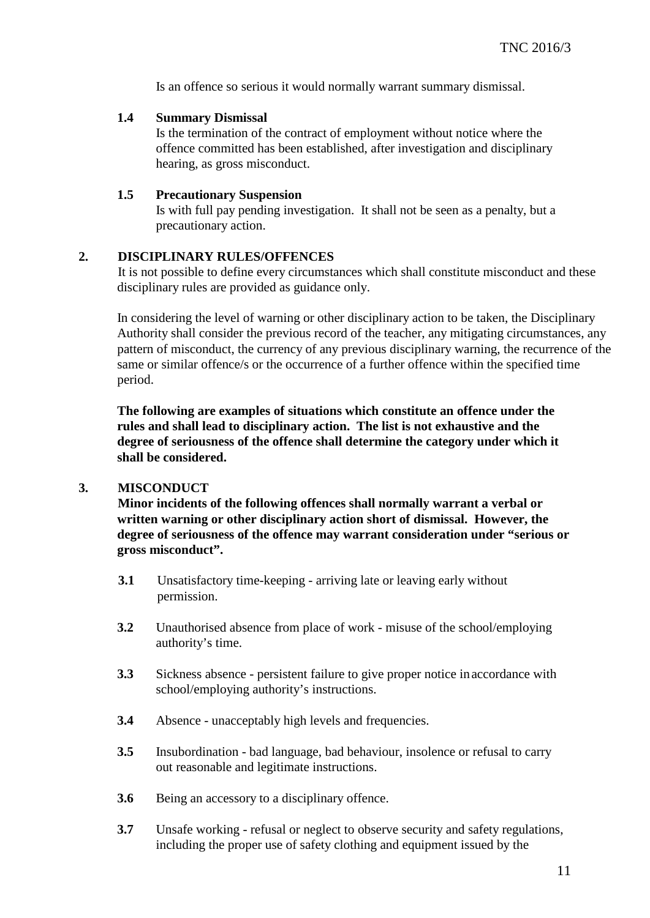Is an offence so serious it would normally warrant summary dismissal.

#### **1.4 Summary Dismissal**

Is the termination of the contract of employment without notice where the offence committed has been established, after investigation and disciplinary hearing, as gross misconduct.

#### **1.5 Precautionary Suspension**

Is with full pay pending investigation. It shall not be seen as a penalty, but a precautionary action.

#### **2. DISCIPLINARY RULES/OFFENCES**

It is not possible to define every circumstances which shall constitute misconduct and these disciplinary rules are provided as guidance only.

In considering the level of warning or other disciplinary action to be taken, the Disciplinary Authority shall consider the previous record of the teacher, any mitigating circumstances, any pattern of misconduct, the currency of any previous disciplinary warning, the recurrence of the same or similar offence/s or the occurrence of a further offence within the specified time period.

**The following are examples of situations which constitute an offence under the rules and shall lead to disciplinary action. The list is not exhaustive and the degree of seriousness of the offence shall determine the category under which it shall be considered.**

#### **3. MISCONDUCT**

**Minor incidents of the following offences shall normally warrant a verbal or written warning or other disciplinary action short of dismissal. However, the degree of seriousness of the offence may warrant consideration under "serious or gross misconduct".**

- **3.1** Unsatisfactory time-keeping arriving late or leaving early without permission.
- **3.2** Unauthorised absence from place of work misuse of the school/employing authority's time.
- **3.3** Sickness absence persistent failure to give proper notice inaccordance with school/employing authority's instructions.
- **3.4** Absence unacceptably high levels and frequencies.
- **3.5** Insubordination bad language, bad behaviour, insolence or refusal to carry out reasonable and legitimate instructions.
- **3.6** Being an accessory to a disciplinary offence.
- **3.7** Unsafe working refusal or neglect to observe security and safety regulations, including the proper use of safety clothing and equipment issued by the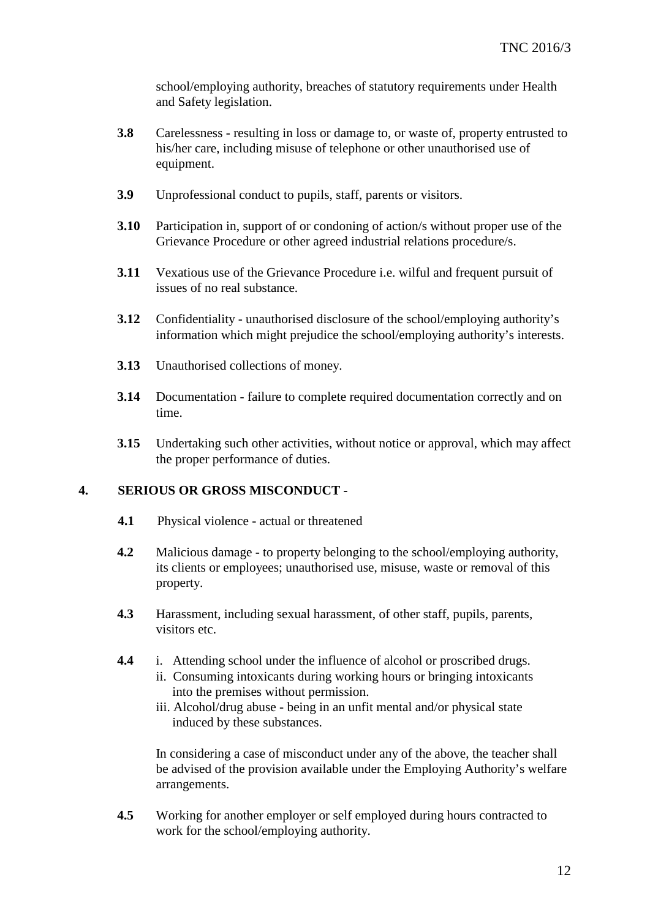school/employing authority, breaches of statutory requirements under Health and Safety legislation.

- **3.8** Carelessness resulting in loss or damage to, or waste of, property entrusted to his/her care, including misuse of telephone or other unauthorised use of equipment.
- **3.9** Unprofessional conduct to pupils, staff, parents or visitors.
- **3.10** Participation in, support of or condoning of action/s without proper use of the Grievance Procedure or other agreed industrial relations procedure/s.
- **3.11** Vexatious use of the Grievance Procedure i.e. wilful and frequent pursuit of issues of no real substance.
- **3.12** Confidentiality unauthorised disclosure of the school/employing authority's information which might prejudice the school/employing authority's interests.
- **3.13** Unauthorised collections of money.
- **3.14** Documentation failure to complete required documentation correctly and on time.
- **3.15** Undertaking such other activities, without notice or approval, which may affect the proper performance of duties.

#### **4. SERIOUS OR GROSS MISCONDUCT -**

- **4.1** Physical violence actual or threatened
- **4.2** Malicious damage to property belonging to the school/employing authority, its clients or employees; unauthorised use, misuse, waste or removal of this property.
- **4.3** Harassment, including sexual harassment, of other staff, pupils, parents, visitors etc.
- **4.4** i. Attending school under the influence of alcohol or proscribed drugs.
	- ii. Consuming intoxicants during working hours or bringing intoxicants into the premises without permission.
	- iii. Alcohol/drug abuse being in an unfit mental and/or physical state induced by these substances.

In considering a case of misconduct under any of the above, the teacher shall be advised of the provision available under the Employing Authority's welfare arrangements.

**4.5** Working for another employer or self employed during hours contracted to work for the school/employing authority.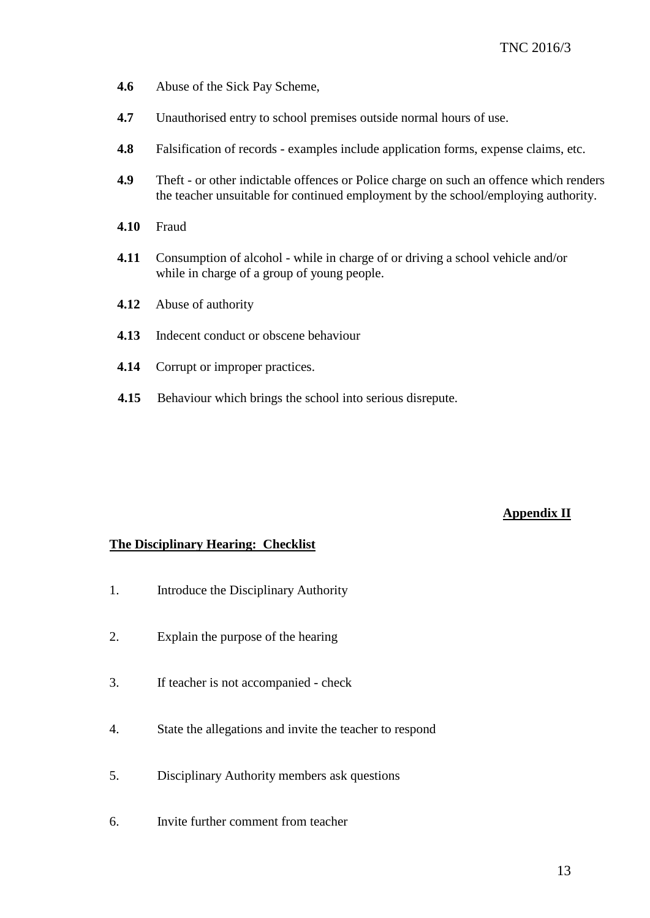- **4.6** Abuse of the Sick Pay Scheme,
- **4.7** Unauthorised entry to school premises outside normal hours of use.
- **4.8** Falsification of records examples include application forms, expense claims, etc.
- **4.9** Theft or other indictable offences or Police charge on such an offence which renders the teacher unsuitable for continued employment by the school/employing authority.
- **4.10** Fraud
- **4.11** Consumption of alcohol while in charge of or driving a school vehicle and/or while in charge of a group of young people.
- **4.12** Abuse of authority
- **4.13** Indecent conduct or obscene behaviour
- **4.14** Corrupt or improper practices.
- **4.15** Behaviour which brings the school into serious disrepute.

#### **Appendix II**

#### **The Disciplinary Hearing: Checklist**

- 1. Introduce the Disciplinary Authority
- 2. Explain the purpose of the hearing
- 3. If teacher is not accompanied check
- 4. State the allegations and invite the teacher to respond
- 5. Disciplinary Authority members ask questions
- 6. Invite further comment from teacher